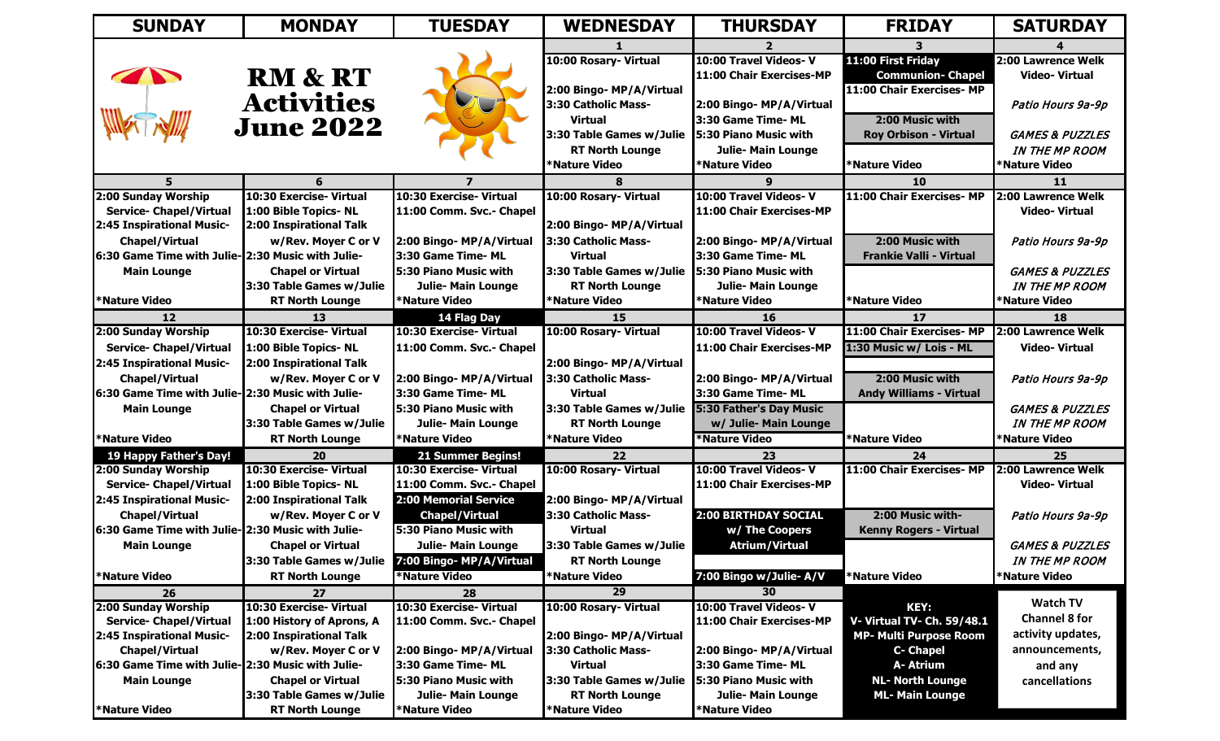| <b>SUNDAY</b>                                               | <b>MONDAY</b>                | <b>TUESDAY</b>                | <b>WEDNESDAY</b>         | <b>THURSDAY</b>            | <b>FRIDAY</b>                  | <b>SATURDAY</b>            |
|-------------------------------------------------------------|------------------------------|-------------------------------|--------------------------|----------------------------|--------------------------------|----------------------------|
|                                                             |                              |                               |                          |                            |                                |                            |
|                                                             |                              |                               | 10:00 Rosary- Virtual    | 10:00 Travel Videos-V      | 11:00 First Friday             | 2:00 Lawrence Welk         |
| <b>STARTING COMPANY</b>                                     | <b>RM &amp; RT</b>           |                               |                          | 11:00 Chair Exercises-MP   | <b>Communion- Chapel</b>       | <b>Video-Virtual</b>       |
|                                                             | <b>Activities</b>            |                               | 2:00 Bingo- MP/A/Virtual |                            | 11:00 Chair Exercises-MP       |                            |
|                                                             |                              |                               | 3:30 Catholic Mass-      | 2:00 Bingo- MP/A/Virtual   |                                | Patio Hours 9a-9p          |
|                                                             | <b>June 2022</b>             |                               | <b>Virtual</b>           | 3:30 Game Time- ML         | 2:00 Music with                |                            |
|                                                             |                              |                               | 3:30 Table Games w/Julie | 5:30 Piano Music with      | <b>Roy Orbison - Virtual</b>   | <b>GAMES &amp; PUZZLES</b> |
|                                                             |                              |                               | <b>RT North Lounge</b>   | Julie- Main Lounge         |                                | <b>IN THE MP ROOM</b>      |
|                                                             |                              |                               | *Nature Video            | <b>*Nature Video</b>       | *Nature Video                  | *Nature Video              |
|                                                             | 6<br>10:30 Exercise- Virtual | 10:30 Exercise- Virtual       | 8                        | 9<br>10:00 Travel Videos-V | 10<br>11:00 Chair Exercises-MP | 11<br>2:00 Lawrence Welk   |
| 2:00 Sunday Worship                                         | 1:00 Bible Topics- NL        | 11:00 Comm. Svc.- Chapel      | 10:00 Rosary- Virtual    | 11:00 Chair Exercises-MP   |                                | <b>Video-Virtual</b>       |
| <b>Service- Chapel/Virtual</b><br>2:45 Inspirational Music- | 2:00 Inspirational Talk      |                               | 2:00 Bingo- MP/A/Virtual |                            |                                |                            |
| <b>Chapel/Virtual</b>                                       | w/Rev. Moyer C or V          | 2:00 Bingo- MP/A/Virtual      | 3:30 Catholic Mass-      | 2:00 Bingo- MP/A/Virtual   | 2:00 Music with                |                            |
| 6:30 Game Time with Julie- 2:30 Music with Julie-           |                              | 3:30 Game Time- ML            | <b>Virtual</b>           | 3:30 Game Time- ML         | <b>Frankie Valli - Virtual</b> | Patio Hours 9a-9p          |
| <b>Main Lounge</b>                                          | <b>Chapel or Virtual</b>     | 5:30 Piano Music with         | 3:30 Table Games w/Julie | 5:30 Piano Music with      |                                | <b>GAMES &amp; PUZZLES</b> |
|                                                             | 3:30 Table Games w/Julie     | Julie- Main Lounge            | <b>RT North Lounge</b>   | Julie- Main Lounge         |                                | <b>IN THE MP ROOM</b>      |
| *Nature Video                                               | <b>RT North Lounge</b>       | *Nature Video                 | *Nature Video            | *Nature Video              | *Nature Video                  | KNature Video              |
| 12                                                          | 13                           | 14 Flag Day                   | 15                       | 16                         | 17                             | 18                         |
| 2:00 Sunday Worship                                         | 10:30 Exercise- Virtual      | 10:30 Exercise- Virtual       | 10:00 Rosary- Virtual    | 10:00 Travel Videos-V      | 11:00 Chair Exercises-MP       | 2:00 Lawrence Welk         |
| <b>Service- Chapel/Virtual</b>                              | 1:00 Bible Topics-NL         | 11:00 Comm. Svc.- Chapel      |                          | 11:00 Chair Exercises-MP   | 1:30 Music w/ Lois - ML        | <b>Video-Virtual</b>       |
| 2:45 Inspirational Music-                                   | 2:00 Inspirational Talk      |                               | 2:00 Bingo- MP/A/Virtual |                            |                                |                            |
| <b>Chapel/Virtual</b>                                       | w/Rev. Moyer C or V          | 2:00 Bingo- MP/A/Virtual      | 3:30 Catholic Mass-      | 2:00 Bingo- MP/A/Virtual   | 2:00 Music with                | Patio Hours 9a-9p          |
| 6:30 Game Time with Julie- 2:30 Music with Julie-           |                              | 3:30 Game Time- ML            | <b>Virtual</b>           | 3:30 Game Time- ML         | <b>Andy Williams - Virtual</b> |                            |
| <b>Main Lounge</b>                                          | <b>Chapel or Virtual</b>     | <b>5:30 Piano Music with</b>  | 3:30 Table Games w/Julie | 5:30 Father's Day Music    |                                | <b>GAMES &amp; PUZZLES</b> |
|                                                             | 3:30 Table Games w/Julie     | Julie- Main Lounge            | <b>RT North Lounge</b>   | w/ Julie- Main Lounge      |                                | <b>IN THE MP ROOM</b>      |
| *Nature Video                                               | <b>RT North Lounge</b>       | *Nature Video                 | <b>*Nature Video</b>     | <b>*Nature Video</b>       | *Nature Video                  | KNature Video              |
| 19 Happy Father's Day!                                      | <b>20</b>                    | <b>21 Summer Begins!</b>      | 22                       | 23                         | 24                             | 25                         |
| 2:00 Sunday Worship                                         | 10:30 Exercise- Virtual      | 10:30 Exercise- Virtual       | 10:00 Rosary- Virtual    | 10:00 Travel Videos-V      | 11:00 Chair Exercises-MP       | 2:00 Lawrence Welk         |
| <b>Service- Chapel/Virtual</b>                              | 1:00 Bible Topics-NL         | 11:00 Comm. Svc.- Chapel      |                          | 11:00 Chair Exercises-MP   |                                | <b>Video-Virtual</b>       |
| 2:45 Inspirational Music-                                   | 2:00 Inspirational Talk      | <b>2:00 Memorial Service</b>  | 2:00 Bingo- MP/A/Virtual |                            |                                |                            |
| <b>Chapel/Virtual</b>                                       | w/Rev. Moyer C or V          | <b>Chapel/Virtual</b>         | 3:30 Catholic Mass-      | 2:00 BIRTHDAY SOCIAL       | 2:00 Music with-               | Patio Hours 9a-9p          |
| 6:30 Game Time with Julie- 2:30 Music with Julie-           |                              | <b>15:30 Piano Music with</b> | <b>Virtual</b>           | w/ The Coopers             | <b>Kenny Rogers - Virtual</b>  |                            |
| <b>Main Lounge</b>                                          | <b>Chapel or Virtual</b>     | Julie- Main Lounge            | 3:30 Table Games w/Julie | <b>Atrium/Virtual</b>      |                                | <b>GAMES &amp; PUZZLES</b> |
|                                                             | 3:30 Table Games w/Julie     | 7:00 Bingo- MP/A/Virtual      | <b>RT North Lounge</b>   |                            |                                | IN THE MP ROOM             |
| *Nature Video                                               | <b>RT North Lounge</b>       | *Nature Video                 | *Nature Video            | 7:00 Bingo w/Julie- A/V    | *Nature Video                  | *Nature Video              |
| 26                                                          | 27                           | 28                            | 29                       | 30                         |                                |                            |
| 2:00 Sunday Worship                                         | 10:30 Exercise- Virtual      | 10:30 Exercise- Virtual       | 10:00 Rosary- Virtual    | 10:00 Travel Videos-V      | <b>KEY:</b>                    | <b>Watch TV</b>            |
| <b>Service- Chapel/Virtual</b>                              | 1:00 History of Aprons, A    | 11:00 Comm. Svc.- Chapel      |                          | 11:00 Chair Exercises-MP   | V- Virtual TV- Ch. 59/48.1     | <b>Channel 8 for</b>       |
| 2:45 Inspirational Music-                                   | 2:00 Inspirational Talk      |                               | 2:00 Bingo- MP/A/Virtual |                            | <b>MP- Multi Purpose Room</b>  | activity updates,          |
| <b>Chapel/Virtual</b>                                       | w/Rev. Moyer C or V          | 2:00 Bingo- MP/A/Virtual      | 3:30 Catholic Mass-      | 2:00 Bingo- MP/A/Virtual   | <b>C- Chapel</b>               | announcements,             |
| 6:30 Game Time with Julie- 2:30 Music with Julie-           |                              | 3:30 Game Time- ML            | <b>Virtual</b>           | 3:30 Game Time- ML         | A- Atrium                      | and any                    |
| <b>Main Lounge</b>                                          | <b>Chapel or Virtual</b>     | 5:30 Piano Music with         | 3:30 Table Games w/Julie | 5:30 Piano Music with      | <b>NL- North Lounge</b>        | cancellations              |
|                                                             | 3:30 Table Games w/Julie     | Julie- Main Lounge            | <b>RT North Lounge</b>   | Julie- Main Lounge         | <b>ML- Main Lounge</b>         |                            |
| *Nature Video                                               | <b>RT North Lounge</b>       | <b>*Nature Video</b>          | *Nature Video            | *Nature Video              |                                |                            |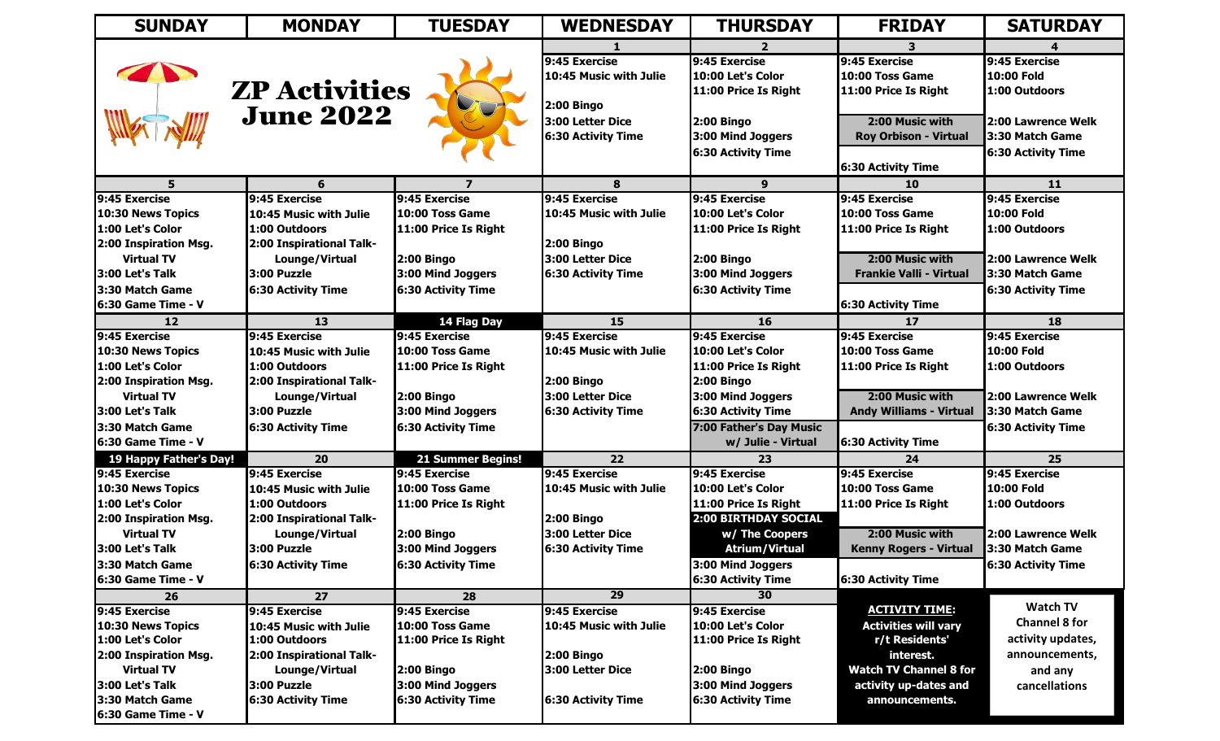|                                                                                                                                                                   |                                                                                                                                                    |                                                                                                                                 |                                                                                                               |                                                                                                                                                                                        | <b>FRIDAY</b>                                                                                                                                                   | <b>SATURDAY</b>                                                                                                    |
|-------------------------------------------------------------------------------------------------------------------------------------------------------------------|----------------------------------------------------------------------------------------------------------------------------------------------------|---------------------------------------------------------------------------------------------------------------------------------|---------------------------------------------------------------------------------------------------------------|----------------------------------------------------------------------------------------------------------------------------------------------------------------------------------------|-----------------------------------------------------------------------------------------------------------------------------------------------------------------|--------------------------------------------------------------------------------------------------------------------|
|                                                                                                                                                                   |                                                                                                                                                    |                                                                                                                                 |                                                                                                               |                                                                                                                                                                                        |                                                                                                                                                                 |                                                                                                                    |
| T                                                                                                                                                                 | <b>ZP Activities</b>                                                                                                                               |                                                                                                                                 | 9:45 Exercise<br>10:45 Music with Julie<br><b>2:00 Bingo</b>                                                  | 9:45 Exercise<br>10:00 Let's Color<br>11:00 Price Is Right                                                                                                                             | 9:45 Exercise<br>10:00 Toss Game<br>11:00 Price Is Right                                                                                                        | 9:45 Exercise<br>10:00 Fold<br>1:00 Outdoors                                                                       |
|                                                                                                                                                                   | <b>June 2022</b>                                                                                                                                   |                                                                                                                                 | 3:00 Letter Dice<br><b>6:30 Activity Time</b>                                                                 | 2:00 Bingo<br>3:00 Mind Joggers<br><b>6:30 Activity Time</b>                                                                                                                           | 2:00 Music with<br><b>Roy Orbison - Virtual</b><br><b>6:30 Activity Time</b>                                                                                    | 2:00 Lawrence Welk<br>l3:30 Match Game<br><b>6:30 Activity Time</b>                                                |
| 5                                                                                                                                                                 | 6                                                                                                                                                  |                                                                                                                                 | 8                                                                                                             | 9                                                                                                                                                                                      | 10                                                                                                                                                              | 11                                                                                                                 |
| 9:45 Exercise<br>10:30 News Topics<br>1:00 Let's Color                                                                                                            | 9:45 Exercise<br>10:45 Music with Julie<br>1:00 Outdoors                                                                                           | 9:45 Exercise<br>10:00 Toss Game<br>11:00 Price Is Right                                                                        | 9:45 Exercise<br>10:45 Music with Julie                                                                       | 9:45 Exercise<br>10:00 Let's Color<br>11:00 Price Is Right                                                                                                                             | 9:45 Exercise<br>10:00 Toss Game<br>11:00 Price Is Right                                                                                                        | 9:45 Exercise<br>10:00 Fold<br>1:00 Outdoors                                                                       |
| 2:00 Inspiration Msg.<br><b>Virtual TV</b>                                                                                                                        | 2:00 Inspirational Talk-<br>Lounge/Virtual                                                                                                         | <b>2:00 Bingo</b>                                                                                                               | <b>2:00 Bingo</b><br>3:00 Letter Dice                                                                         | <b>2:00 Bingo</b>                                                                                                                                                                      | 2:00 Music with                                                                                                                                                 | 2:00 Lawrence Welk                                                                                                 |
| 3:00 Let's Talk<br>3:30 Match Game<br>16:30 Game Time - V                                                                                                         | 3:00 Puzzle<br><b>6:30 Activity Time</b>                                                                                                           | 3:00 Mind Joggers<br><b>6:30 Activity Time</b>                                                                                  | <b>6:30 Activity Time</b>                                                                                     | 3:00 Mind Joggers<br><b>6:30 Activity Time</b>                                                                                                                                         | Frankie Valli - Virtual<br><b>6:30 Activity Time</b>                                                                                                            | 3:30 Match Game<br><b>6:30 Activity Time</b>                                                                       |
| 12                                                                                                                                                                | 13                                                                                                                                                 | 14 Flag Day                                                                                                                     | 15                                                                                                            | <b>16</b>                                                                                                                                                                              | 17                                                                                                                                                              | 18                                                                                                                 |
| 9:45 Exercise<br>10:30 News Topics<br>1:00 Let's Color<br>2:00 Inspiration Msg.<br><b>Virtual TV</b><br>3:00 Let's Talk<br>13:30 Match Game<br>6:30 Game Time - V | 9:45 Exercise<br>10:45 Music with Julie<br>1:00 Outdoors<br>2:00 Inspirational Talk-<br>Lounge/Virtual<br>3:00 Puzzle<br><b>6:30 Activity Time</b> | 9:45 Exercise<br>10:00 Toss Game<br>11:00 Price Is Right<br><b>2:00 Bingo</b><br>3:00 Mind Joggers<br>6:30 Activity Time        | 9:45 Exercise<br>10:45 Music with Julie<br><b>2:00 Bingo</b><br>3:00 Letter Dice<br><b>6:30 Activity Time</b> | 9:45 Exercise<br>10:00 Let's Color<br>11:00 Price Is Right<br>2:00 Bingo<br>3:00 Mind Joggers<br><b>6:30 Activity Time</b><br>7:00 Father's Day Music<br>w/ Julie - Virtual            | 9:45 Exercise<br>10:00 Toss Game<br>11:00 Price Is Right<br>2:00 Music with<br><b>Andy Williams - Virtual</b><br><b>6:30 Activity Time</b>                      | 9:45 Exercise<br>10:00 Fold<br>1:00 Outdoors<br>2:00 Lawrence Welk<br>3:30 Match Game<br><b>6:30 Activity Time</b> |
| 19 Happy Father's Day!                                                                                                                                            | 20                                                                                                                                                 | 21 Summer Begins!                                                                                                               | 22                                                                                                            | 23                                                                                                                                                                                     | 24                                                                                                                                                              | 25                                                                                                                 |
| 9:45 Exercise<br>10:30 News Topics<br>1:00 Let's Color<br>2:00 Inspiration Msg.<br><b>Virtual TV</b><br>3:00 Let's Talk<br>3:30 Match Game<br>6:30 Game Time - V  | 9:45 Exercise<br>10:45 Music with Julie<br>1:00 Outdoors<br>2:00 Inspirational Talk-<br>Lounge/Virtual<br>3:00 Puzzle<br><b>6:30 Activity Time</b> | 9:45 Exercise<br>10:00 Toss Game<br>11:00 Price Is Right<br><b>2:00 Bingo</b><br>3:00 Mind Joggers<br><b>6:30 Activity Time</b> | 9:45 Exercise<br>10:45 Music with Julie<br><b>2:00 Bingo</b><br>3:00 Letter Dice<br><b>6:30 Activity Time</b> | 9:45 Exercise<br>10:00 Let's Color<br>11:00 Price Is Right<br><b>2:00 BIRTHDAY SOCIAL</b><br>w/ The Coopers<br><b>Atrium/Virtual</b><br>3:00 Mind Joggers<br><b>6:30 Activity Time</b> | 9:45 Exercise<br>10:00 Toss Game<br>11:00 Price Is Right<br>2:00 Music with<br><b>Kenny Rogers - Virtual</b><br><b>6:30 Activity Time</b>                       | 9:45 Exercise<br>10:00 Fold<br>1:00 Outdoors<br>2:00 Lawrence Welk<br>3:30 Match Game<br><b>6:30 Activity Time</b> |
| 26                                                                                                                                                                | 27                                                                                                                                                 | 28                                                                                                                              | 29                                                                                                            | 30                                                                                                                                                                                     |                                                                                                                                                                 | <b>Watch TV</b>                                                                                                    |
| 9:45 Exercise<br>10:30 News Topics<br>1:00 Let's Color<br>2:00 Inspiration Msg.<br><b>Virtual TV</b><br>3:00 Let's Talk<br>3:30 Match Game                        | 9:45 Exercise<br>10:45 Music with Julie<br>1:00 Outdoors<br>2:00 Inspirational Talk-<br>Lounge/Virtual<br>3:00 Puzzle<br><b>6:30 Activity Time</b> | 9:45 Exercise<br>10:00 Toss Game<br>11:00 Price Is Right<br>2:00 Bingo<br>3:00 Mind Joggers<br><b>6:30 Activity Time</b>        | 9:45 Exercise<br>10:45 Music with Julie<br>2:00 Bingo<br>3:00 Letter Dice<br><b>6:30 Activity Time</b>        | 9:45 Exercise<br>10:00 Let's Color<br>11:00 Price Is Right<br>2:00 Bingo<br>3:00 Mind Joggers<br><b>6:30 Activity Time</b>                                                             | <b>ACTIVITY TIME:</b><br><b>Activities will vary</b><br>r/t Residents'<br>interest.<br><b>Watch TV Channel 8 for</b><br>activity up-dates and<br>announcements. | <b>Channel 8 for</b><br>activity updates,<br>announcements,<br>and any<br>cancellations                            |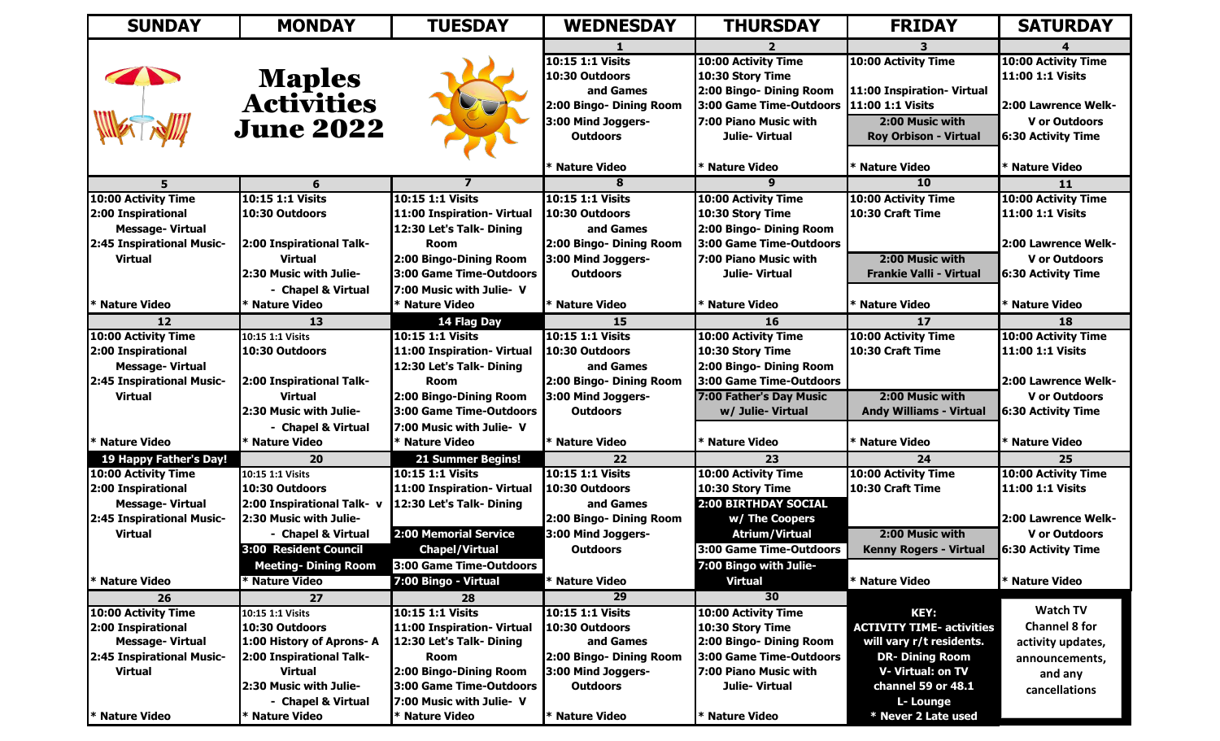| <b>SUNDAY</b>                    | <b>MONDAY</b>                 | <b>TUESDAY</b>             | <b>WEDNESDAY</b>        | <b>THURSDAY</b>            | <b>FRIDAY</b>                    | <b>SATURDAY</b>            |
|----------------------------------|-------------------------------|----------------------------|-------------------------|----------------------------|----------------------------------|----------------------------|
|                                  |                               |                            |                         |                            |                                  |                            |
|                                  |                               |                            | 10:15 1:1 Visits        | 10:00 Activity Time        | 10:00 Activity Time              | 10:00 Activity Time        |
| <b>CONTRACTOR</b>                | <b>Maples<br/>Activities</b>  |                            | 10:30 Outdoors          | 10:30 Story Time           |                                  | 11:00 1:1 Visits           |
|                                  |                               |                            | and Games               | 2:00 Bingo- Dining Room    | 11:00 Inspiration- Virtual       |                            |
|                                  |                               |                            | 2:00 Bingo- Dining Room | 3:00 Game Time-Outdoors    | <b>11:00 1:1 Visits</b>          | 2:00 Lawrence Welk-        |
|                                  | <b>June 2022</b>              |                            | 3:00 Mind Joggers-      | 7:00 Piano Music with      | 2:00 Music with                  | <b>V</b> or Outdoors       |
|                                  |                               |                            | <b>Outdoors</b>         | Julie- Virtual             | <b>Roy Orbison - Virtual</b>     | <b>6:30 Activity Time</b>  |
|                                  |                               |                            |                         |                            |                                  |                            |
|                                  |                               |                            | Mature Video            | K Nature Video             | * Nature Video                   | * Nature Video             |
|                                  | 6                             |                            |                         | q                          | 10                               | 11                         |
| 10:00 Activity Time              | 10:15 1:1 Visits              | 10:15 1:1 Visits           | 10:15 1:1 Visits        | <b>10:00 Activity Time</b> | 10:00 Activity Time              | <b>10:00 Activity Time</b> |
| 2:00 Inspirational               | 10:30 Outdoors                | 11:00 Inspiration- Virtual | 10:30 Outdoors          | 10:30 Story Time           | 10:30 Craft Time                 | 11:00 1:1 Visits           |
| <b>Message-Virtual</b>           |                               | 12:30 Let's Talk- Dining   | and Games               | 2:00 Bingo- Dining Room    |                                  |                            |
| 2:45 Inspirational Music-        | 2:00 Inspirational Talk-      | <b>Room</b>                | 2:00 Bingo- Dining Room | 3:00 Game Time-Outdoors    |                                  | 2:00 Lawrence Welk-        |
| <b>Virtual</b>                   | <b>Virtual</b>                | 2:00 Bingo-Dining Room     | 3:00 Mind Joggers-      | 7:00 Piano Music with      | 2:00 Music with                  | V or Outdoors              |
|                                  | 2:30 Music with Julie-        | 3:00 Game Time-Outdoors    | <b>Outdoors</b>         | Julie- Virtual             | <b>Frankie Valli - Virtual</b>   | 6:30 Activity Time         |
|                                  | - Chapel & Virtual            | 7:00 Music with Julie- V   |                         |                            |                                  |                            |
| * Nature Video                   | * Nature Video                | * Nature Video             | * Nature Video          | K Nature Video             | * Nature Video                   | * Nature Video             |
| 12                               | 13                            | 14 Flag Day                | 15                      | <b>16</b>                  | 17                               | 18                         |
| 10:00 Activity Time              | 10:15 1:1 Visits              | 10:15 1:1 Visits           | 10:15 1:1 Visits        | 10:00 Activity Time        | 10:00 Activity Time              | 10:00 Activity Time        |
| 2:00 Inspirational               | 10:30 Outdoors                | 11:00 Inspiration- Virtual | 10:30 Outdoors          | 10:30 Story Time           | 10:30 Craft Time                 | 11:00 1:1 Visits           |
| <b>Message-Virtual</b>           |                               | 12:30 Let's Talk- Dining   | and Games               | 2:00 Bingo- Dining Room    |                                  |                            |
| <b>2:45 Inspirational Music-</b> | 2:00 Inspirational Talk-      | <b>Room</b>                | 2:00 Bingo- Dining Room | 3:00 Game Time-Outdoors    |                                  | 2:00 Lawrence Welk-        |
| Virtual                          | <b>Virtual</b>                | 2:00 Bingo-Dining Room     | 3:00 Mind Joggers-      | 7:00 Father's Day Music    | 2:00 Music with                  | V or Outdoors              |
|                                  | 2:30 Music with Julie-        | 3:00 Game Time-Outdoors    | <b>Outdoors</b>         | w/ Julie- Virtual          | <b>Andy Williams - Virtual</b>   | 6:30 Activity Time         |
|                                  | - Chapel & Virtual            | 7:00 Music with Julie- V   |                         |                            |                                  |                            |
| * Nature Video                   | * Nature Video                | * Nature Video             | * Nature Video          | <b>Nature Video</b>        | * Nature Video                   | * Nature Video             |
| 19 Happy Father's Day!           | 20                            | <b>21 Summer Begins!</b>   | 22                      | 23                         | 24                               | 25                         |
| 10:00 Activity Time              | 10:15 1:1 Visits              | <b>10:15 1:1 Visits</b>    | 10:15 1:1 Visits        | 10:00 Activity Time        | <b>10:00 Activity Time</b>       | 10:00 Activity Time        |
| 2:00 Inspirational               | 10:30 Outdoors                | 11:00 Inspiration- Virtual | 10:30 Outdoors          | 10:30 Story Time           | 10:30 Craft Time                 | 11:00 1:1 Visits           |
| <b>Message-Virtual</b>           | 2:00 Inspirational Talk-v     | 12:30 Let's Talk- Dining   | and Games               | 2:00 BIRTHDAY SOCIAL       |                                  |                            |
| 2:45 Inspirational Music-        | <b>2:30 Music with Julie-</b> |                            | 2:00 Bingo- Dining Room | w/ The Coopers             |                                  | 2:00 Lawrence Welk-        |
| <b>Virtual</b>                   | - Chapel & Virtual            | 2:00 Memorial Service      | 3:00 Mind Joggers-      | <b>Atrium/Virtual</b>      | 2:00 Music with                  | <b>V</b> or Outdoors       |
|                                  | 3:00 Resident Council         | <b>Chapel/Virtual</b>      | <b>Outdoors</b>         | 3:00 Game Time-Outdoors    | <b>Kenny Rogers - Virtual</b>    | 6:30 Activity Time         |
|                                  | <b>Meeting-Dining Room</b>    | 3:00 Game Time-Outdoors    |                         | 7:00 Bingo with Julie-     |                                  |                            |
| * Nature Video                   | <b>* Nature Video</b>         | 7:00 Bingo - Virtual       | * Nature Video          | <b>Virtual</b>             | * Nature Video                   | * Nature Video             |
| 26                               | 27                            | 28                         | 29                      | 30                         |                                  |                            |
| 10:00 Activity Time              | 10:15 1:1 Visits              | 10:15 1:1 Visits           | 10:15 1:1 Visits        | 10:00 Activity Time        | <b>KEY:</b>                      | <b>Watch TV</b>            |
| 2:00 Inspirational               | 10:30 Outdoors                | 11:00 Inspiration- Virtual | 10:30 Outdoors          | 10:30 Story Time           | <b>ACTIVITY TIME- activities</b> | <b>Channel 8 for</b>       |
| <b>Message-Virtual</b>           | 1:00 History of Aprons- A     | 12:30 Let's Talk- Dining   | and Games               | 2:00 Bingo- Dining Room    | will vary r/t residents.         | activity updates,          |
| 2:45 Inspirational Music-        | 2:00 Inspirational Talk-      | <b>Room</b>                | 2:00 Bingo- Dining Room | 3:00 Game Time-Outdoors    | <b>DR- Dining Room</b>           | announcements,             |
| <b>Virtual</b>                   | <b>Virtual</b>                | 2:00 Bingo-Dining Room     | 3:00 Mind Joggers-      | 7:00 Piano Music with      | V-Virtual: on TV                 | and any                    |
|                                  | 2:30 Music with Julie-        | 3:00 Game Time-Outdoors    | <b>Outdoors</b>         | Julie- Virtual             | channel 59 or 48.1               | cancellations              |
|                                  | - Chapel & Virtual            | 7:00 Music with Julie- V   |                         |                            | L-Lounge                         |                            |
| * Nature Video                   | * Nature Video                | * Nature Video             | * Nature Video          | <b>K</b> Nature Video      | * Never 2 Late used              |                            |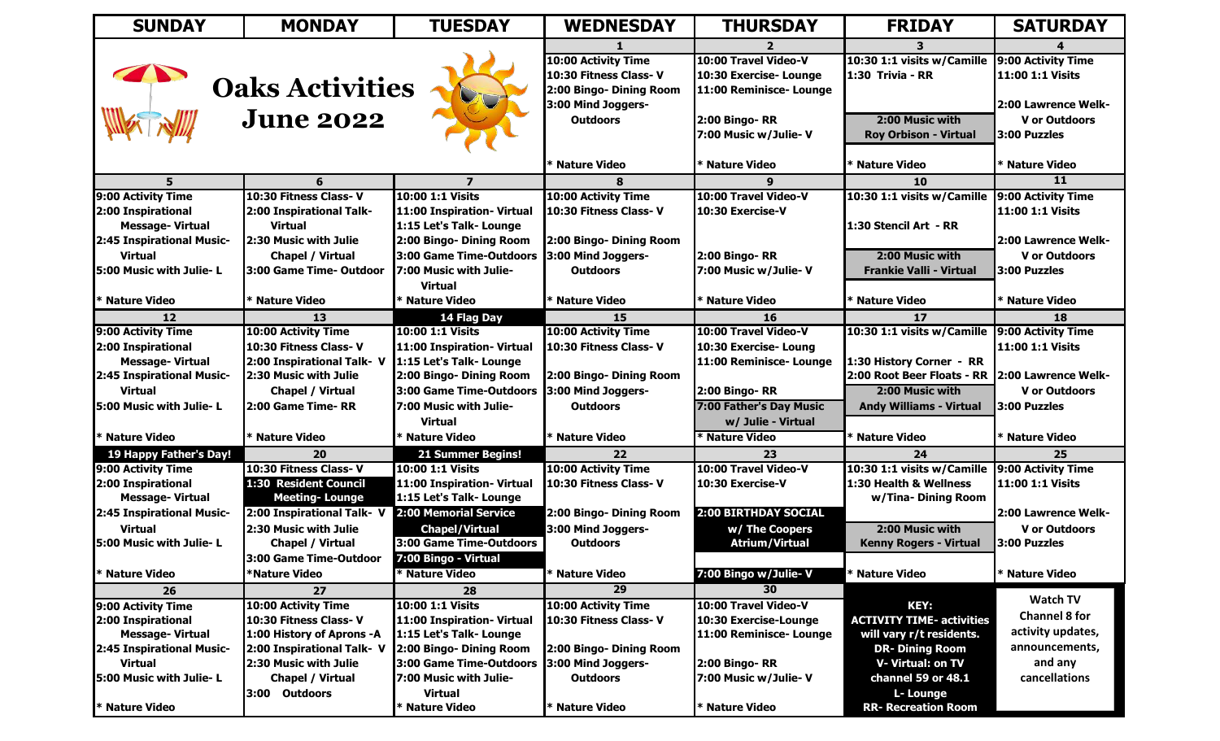| <b>SUNDAY</b>             | <b>MONDAY</b>                                    | <b>TUESDAY</b>                             | <b>WEDNESDAY</b>                                                                                     | <b>THURSDAY</b>                                                           | <b>FRIDAY</b>                                         | <b>SATURDAY</b>                                               |
|---------------------------|--------------------------------------------------|--------------------------------------------|------------------------------------------------------------------------------------------------------|---------------------------------------------------------------------------|-------------------------------------------------------|---------------------------------------------------------------|
|                           |                                                  |                                            |                                                                                                      |                                                                           |                                                       |                                                               |
| <b>SILLER</b>             | <b>Oaks Activities</b>                           |                                            | <b>10:00 Activity Time</b><br>10:30 Fitness Class-V<br>2:00 Bingo- Dining Room<br>3:00 Mind Joggers- | 10:00 Travel Video-V<br>10:30 Exercise- Lounge<br>11:00 Reminisce- Lounge | 10:30 1:1 visits w/Camille<br><b>1:30 Trivia - RR</b> | 9:00 Activity Time<br>11:00 1:1 Visits<br>2:00 Lawrence Welk- |
|                           | <b>June 2022</b>                                 |                                            | <b>Outdoors</b>                                                                                      | <b>2:00 Bingo-RR</b><br>7:00 Music w/Julie-V                              | 2:00 Music with<br><b>Roy Orbison - Virtual</b>       | <b>V</b> or Outdoors<br>3:00 Puzzles                          |
|                           |                                                  |                                            | * Nature Video                                                                                       | K Nature Video                                                            | * Nature Video                                        | * Nature Video                                                |
| 5                         | 6                                                |                                            | 8                                                                                                    | 9                                                                         | 10                                                    | 11                                                            |
| 9:00 Activity Time        | 10:30 Fitness Class-V                            | 10:00 1:1 Visits                           | 10:00 Activity Time                                                                                  | 10:00 Travel Video-V                                                      | 10:30 1:1 visits w/Camille 9:00 Activity Time         |                                                               |
| 2:00 Inspirational        | 2:00 Inspirational Talk-                         | 11:00 Inspiration- Virtual                 | 10:30 Fitness Class-V                                                                                | 10:30 Exercise-V                                                          |                                                       | 11:00 1:1 Visits                                              |
| <b>Message-Virtual</b>    | <b>Virtual</b>                                   | 1:15 Let's Talk- Lounge                    |                                                                                                      |                                                                           | 1:30 Stencil Art - RR                                 |                                                               |
| 2:45 Inspirational Music- | 2:30 Music with Julie                            | 2:00 Bingo- Dining Room                    | 2:00 Bingo- Dining Room                                                                              |                                                                           |                                                       | 2:00 Lawrence Welk-                                           |
| <b>Virtual</b>            | Chapel / Virtual                                 | 3:00 Game Time-Outdoors                    | 3:00 Mind Joggers-                                                                                   | 2:00 Bingo-RR                                                             | 2:00 Music with                                       | <b>V</b> or Outdoors                                          |
| 5:00 Music with Julie-L   | 3:00 Game Time- Outdoor                          | 7:00 Music with Julie-<br><b>Virtual</b>   | <b>Outdoors</b>                                                                                      | 7:00 Music w/Julie-V                                                      | <b>Frankie Valli - Virtual</b>                        | 3:00 Puzzles                                                  |
| <sup>k</sup> Nature Video | * Nature Video                                   | <sup>*</sup> Nature Video                  | * Nature Video                                                                                       | K Nature Video                                                            | * Nature Video                                        | * Nature Video                                                |
| $12 \overline{ }$         | 13                                               | 14 Flag Day                                | 15                                                                                                   | 16                                                                        | 17                                                    | 18                                                            |
| 9:00 Activity Time        | <b>10:00 Activity Time</b>                       | 10:00 1:1 Visits                           | 10:00 Activity Time                                                                                  | 10:00 Travel Video-V                                                      | 10:30 1:1 visits w/Camille 9:00 Activity Time         |                                                               |
| 2:00 Inspirational        | 10:30 Fitness Class-V                            | 11:00 Inspiration- Virtual                 | 10:30 Fitness Class- V                                                                               | 10:30 Exercise- Loung                                                     |                                                       | 11:00 1:1 Visits                                              |
| <b>Message-Virtual</b>    | 2:00 Inspirational Talk- V                       | 1:15 Let's Talk- Lounge                    |                                                                                                      | 11:00 Reminisce- Lounge                                                   | 1:30 History Corner - RR                              |                                                               |
| 2:45 Inspirational Music- | 2:30 Music with Julie                            | 2:00 Bingo- Dining Room                    | 2:00 Bingo- Dining Room                                                                              |                                                                           | 2:00 Root Beer Floats - RR                            | 2:00 Lawrence Welk-                                           |
| <b>Virtual</b>            | Chapel / Virtual                                 | 3:00 Game Time-Outdoors                    | 3:00 Mind Joggers-                                                                                   | 2:00 Bingo-RR                                                             | 2:00 Music with                                       | <b>V</b> or Outdoors                                          |
| 5:00 Music with Julie-L   | 2:00 Game Time-RR                                | 7:00 Music with Julie-<br><b>Virtual</b>   | <b>Outdoors</b>                                                                                      | 7:00 Father's Day Music<br>w/ Julie - Virtual                             | <b>Andy Williams - Virtual</b>                        | 3:00 Puzzles                                                  |
| <b>Nature Video</b>       | * Nature Video                                   | <b>Nature Video</b>                        | * Nature Video                                                                                       | Mature Video                                                              | * Nature Video                                        | * Nature Video                                                |
| 19 Happy Father's Day!    | 20                                               | <b>21 Summer Begins!</b>                   | 22                                                                                                   | 23                                                                        | 24                                                    | 25                                                            |
| 9:00 Activity Time        | 10:30 Fitness Class-V                            | 10:00 1:1 Visits                           | <b>10:00 Activity Time</b>                                                                           | 10:00 Travel Video-V                                                      | 10:30 1:1 visits w/Camille                            | 9:00 Activity Time                                            |
| 2:00 Inspirational        | 1:30 Resident Council                            | 11:00 Inspiration- Virtual                 | 10:30 Fitness Class-V                                                                                | 10:30 Exercise-V                                                          | 1:30 Health & Wellness                                | 11:00 1:1 Visits                                              |
| <b>Message-Virtual</b>    | <b>Meeting-Lounge</b>                            | 1:15 Let's Talk- Lounge                    |                                                                                                      |                                                                           | w/Tina-Dining Room                                    |                                                               |
| 2:45 Inspirational Music- | 2:00 Inspirational Talk- V 2:00 Memorial Service |                                            | 2:00 Bingo- Dining Room                                                                              | <b>2:00 BIRTHDAY SOCIAL</b>                                               |                                                       | 2:00 Lawrence Welk-                                           |
| <b>Virtual</b>            | 2:30 Music with Julie                            | <b>Chapel/Virtual</b>                      | 3:00 Mind Joggers-                                                                                   | w/ The Coopers                                                            | 2:00 Music with                                       | <b>V</b> or Outdoors                                          |
| 5:00 Music with Julie-L   | Chapel / Virtual                                 | 3:00 Game Time-Outdoors                    | <b>Outdoors</b>                                                                                      | <b>Atrium/Virtual</b>                                                     | <b>Kenny Rogers - Virtual</b>                         | 3:00 Puzzles                                                  |
|                           | 3:00 Game Time-Outdoor                           | 7:00 Bingo - Virtual                       |                                                                                                      |                                                                           |                                                       |                                                               |
| * Nature Video            | *Nature Video                                    | * Nature Video                             | * Nature Video                                                                                       | 7:00 Bingo w/Julie-V                                                      | * Nature Video                                        | * Nature Video                                                |
| 26                        | 27                                               | 28                                         | 29                                                                                                   | 30                                                                        |                                                       |                                                               |
| 9:00 Activity Time        | 10:00 Activity Time                              | 10:00 1:1 Visits                           | 10:00 Activity Time                                                                                  | 10:00 Travel Video-V                                                      | KEY:                                                  | <b>Watch TV</b>                                               |
| 2:00 Inspirational        | 10:30 Fitness Class-V                            | 11:00 Inspiration- Virtual                 | 10:30 Fitness Class-V                                                                                | 10:30 Exercise-Lounge                                                     | <b>ACTIVITY TIME- activities</b>                      | <b>Channel 8 for</b>                                          |
| <b>Message-Virtual</b>    | 1:00 History of Aprons -A                        | 1:15 Let's Talk- Lounge                    |                                                                                                      | 11:00 Reminisce- Lounge                                                   | will vary r/t residents.                              | activity updates,                                             |
| 2:45 Inspirational Music- | 2:00 Inspirational Talk- V                       | 2:00 Bingo- Dining Room                    | 2:00 Bingo- Dining Room                                                                              |                                                                           | <b>DR- Dining Room</b>                                | announcements,                                                |
| <b>Virtual</b>            | 2:30 Music with Julie                            | 3:00 Game Time-Outdoors 3:00 Mind Joggers- |                                                                                                      | 2:00 Bingo-RR                                                             | V-Virtual: on TV                                      | and any                                                       |
| 5:00 Music with Julie-L   | Chapel / Virtual                                 | 7:00 Music with Julie-                     | <b>Outdoors</b>                                                                                      | 7:00 Music w/Julie-V                                                      | channel 59 or 48.1                                    | cancellations                                                 |
|                           | 3:00 Outdoors                                    | <b>Virtual</b>                             |                                                                                                      |                                                                           | L-Lounge                                              |                                                               |
| * Nature Video            |                                                  | <b>Nature Video</b>                        | * Nature Video                                                                                       | * Nature Video                                                            | <b>RR- Recreation Room</b>                            |                                                               |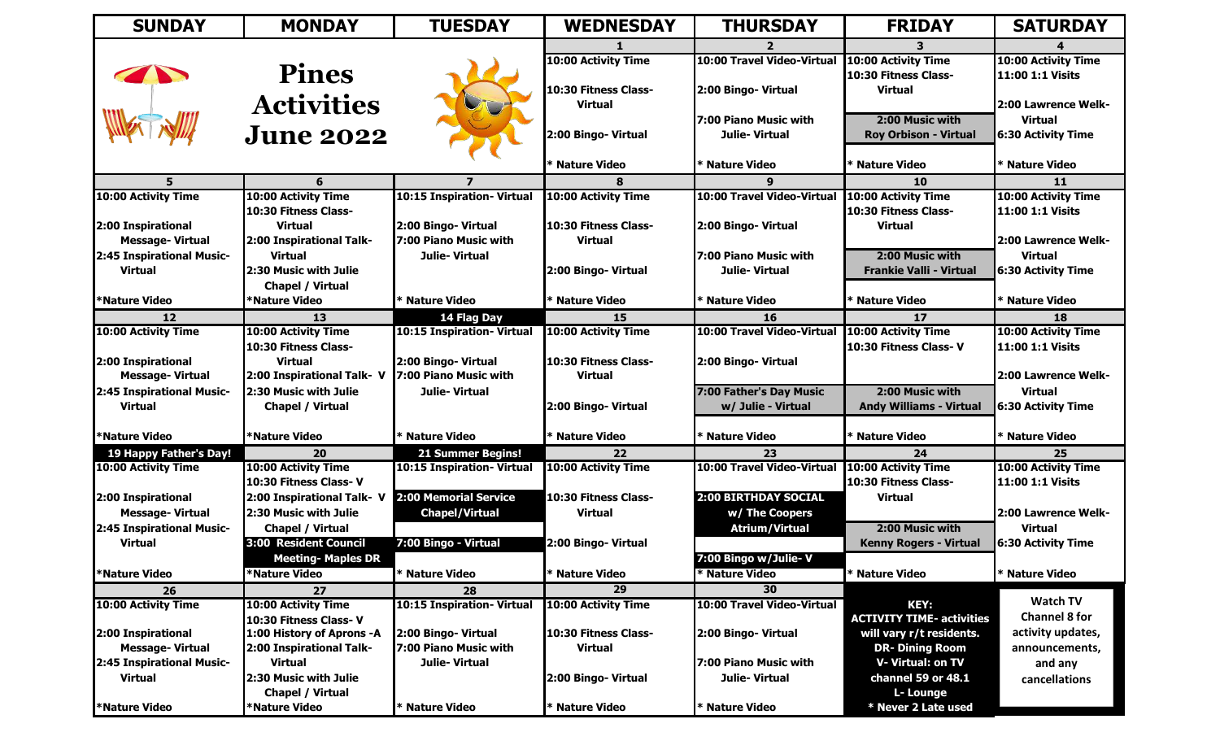| <b>SUNDAY</b>                                       | <b>MONDAY</b>                           | <b>TUESDAY</b>                              | <b>WEDNESDAY</b>          | <b>THURSDAY</b>                         | <b>FRIDAY</b>                             | <b>SATURDAY</b>                  |
|-----------------------------------------------------|-----------------------------------------|---------------------------------------------|---------------------------|-----------------------------------------|-------------------------------------------|----------------------------------|
|                                                     |                                         |                                             |                           |                                         |                                           |                                  |
|                                                     |                                         |                                             | 10:00 Activity Time       | <b>10:00 Travel Video-Virtual</b>       | 10:00 Activity Time                       | 10:00 Activity Time              |
| T                                                   | <b>Pines</b>                            |                                             | 10:30 Fitness Class-      |                                         | 10:30 Fitness Class-                      | 11:00 1:1 Visits                 |
|                                                     | <b>Activities</b>                       |                                             | <b>Virtual</b>            | 2:00 Bingo- Virtual                     | <b>Virtual</b>                            | 2:00 Lawrence Welk-              |
|                                                     |                                         |                                             |                           | 7:00 Piano Music with                   | 2:00 Music with                           | <b>Virtual</b>                   |
|                                                     | <b>June 2022</b>                        |                                             | 2:00 Bingo- Virtual       | Julie-Virtual                           | <b>Roy Orbison - Virtual</b>              | <b>6:30 Activity Time</b>        |
|                                                     |                                         |                                             |                           |                                         |                                           |                                  |
|                                                     |                                         |                                             | * Nature Video            | * Nature Video                          | * Nature Video                            | * Nature Video                   |
|                                                     | 6                                       |                                             | 8                         | 9                                       | 10                                        | 11                               |
| 10:00 Activity Time                                 | 10:00 Activity Time                     | 10:15 Inspiration- Virtual                  | 10:00 Activity Time       | 10:00 Travel Video-Virtual              | 10:00 Activity Time                       | <b>10:00 Activity Time</b>       |
|                                                     | 10:30 Fitness Class-                    |                                             |                           |                                         | 10:30 Fitness Class-                      | 11:00 1:1 Visits                 |
| 2:00 Inspirational                                  | <b>Virtual</b>                          | 2:00 Bingo-Virtual                          | 10:30 Fitness Class-      | 2:00 Bingo-Virtual                      | <b>Virtual</b>                            |                                  |
| <b>Message-Virtual</b>                              | 2:00 Inspirational Talk-                | 7:00 Piano Music with                       | <b>Virtual</b>            |                                         |                                           | 12:00 Lawrence Welk-             |
| 2:45 Inspirational Music-                           | <b>Virtual</b>                          | Julie-Virtual                               |                           | 7:00 Piano Music with                   | 2:00 Music with                           | <b>Virtual</b>                   |
| <b>Virtual</b>                                      | 2:30 Music with Julie                   |                                             | 2:00 Bingo-Virtual        | Julie-Virtual                           | <b>Frankie Valli - Virtual</b>            | <b>6:30 Activity Time</b>        |
|                                                     | Chapel / Virtual                        |                                             |                           |                                         |                                           |                                  |
| *Nature Video                                       | *Nature Video                           | * Nature Video                              | * Nature Video            | * Nature Video                          | * Nature Video                            | * Nature Video                   |
| 12<br><b>10:00 Activity Time</b>                    | 13<br><b>10:00 Activity Time</b>        | 14 Flag Day<br>10:15 Inspiration- Virtual   | 15<br>10:00 Activity Time | 16<br><b>10:00 Travel Video-Virtual</b> | 17<br><b>10:00 Activity Time</b>          | 18<br><b>10:00 Activity Time</b> |
|                                                     | 10:30 Fitness Class-                    |                                             |                           |                                         | 10:30 Fitness Class- V                    | 11:00 1:1 Visits                 |
| 2:00 Inspirational                                  | <b>Virtual</b>                          | 2:00 Bingo-Virtual                          | 10:30 Fitness Class-      | 2:00 Bingo- Virtual                     |                                           |                                  |
| <b>Message-Virtual</b>                              | 2:00 Inspirational Talk- V              | 7:00 Piano Music with                       | <b>Virtual</b>            |                                         |                                           | 2:00 Lawrence Welk-              |
| 2:45 Inspirational Music-                           | 2:30 Music with Julie                   | Julie-Virtual                               |                           | 7:00 Father's Day Music                 | 2:00 Music with                           | <b>Virtual</b>                   |
| <b>Virtual</b>                                      | Chapel / Virtual                        |                                             | 2:00 Bingo- Virtual       | w/ Julie - Virtual                      | <b>Andy Williams - Virtual</b>            | <b>6:30 Activity Time</b>        |
|                                                     |                                         |                                             |                           |                                         |                                           |                                  |
| <b>Nature Video</b>                                 | <b>*Nature Video</b>                    | * Nature Video                              | * Nature Video            | <sup>*</sup> Nature Video               | * Nature Video                            | * Nature Video                   |
| 19 Happy Father's Day!                              | 20                                      | <b>21 Summer Begins!</b>                    | 22                        | 23                                      | 24                                        | 25                               |
| 10:00 Activity Time                                 | 10:00 Activity Time                     | 10:15 Inspiration- Virtual                  | 10:00 Activity Time       | 10:00 Travel Video-Virtual              | 10:00 Activity Time                       | 10:00 Activity Time              |
|                                                     | 10:30 Fitness Class-V                   |                                             |                           |                                         | 10:30 Fitness Class-                      | 11:00 1:1 Visits                 |
| 2:00 Inspirational                                  | 2:00 Inspirational Talk- V              | 2:00 Memorial Service                       | 10:30 Fitness Class-      | 2:00 BIRTHDAY SOCIAL                    | <b>Virtual</b>                            |                                  |
| <b>Message-Virtual</b>                              | 2:30 Music with Julie                   | <b>Chapel/Virtual</b>                       | <b>Virtual</b>            | w/ The Coopers                          |                                           | 2:00 Lawrence Welk-              |
| 2:45 Inspirational Music-                           | Chapel / Virtual                        |                                             |                           | <b>Atrium/Virtual</b>                   | 2:00 Music with                           | <b>Virtual</b>                   |
| <b>Virtual</b>                                      | 3:00 Resident Council                   | 7:00 Bingo - Virtual                        | 2:00 Bingo- Virtual       |                                         | <b>Kenny Rogers - Virtual</b>             | <b>6:30 Activity Time</b>        |
|                                                     | <b>Meeting- Maples DR</b>               |                                             |                           | 7:00 Bingo w/Julie-V                    |                                           |                                  |
| <b>Nature Video</b>                                 | *Nature Video                           | * Nature Video                              | * Nature Video            | * Nature Video                          | * Nature Video                            | * Nature Video                   |
| 26                                                  | 27                                      | 28                                          | $\overline{29}$           | 30                                      |                                           | <b>Watch TV</b>                  |
| 10:00 Activity Time                                 | 10:00 Activity Time                     | 10:15 Inspiration- Virtual                  | 10:00 Activity Time       | 10:00 Travel Video-Virtual              | KEY:                                      |                                  |
|                                                     | 10:30 Fitness Class-V                   |                                             |                           |                                         | <b>ACTIVITY TIME- activities</b>          | <b>Channel 8 for</b>             |
| 2:00 Inspirational                                  | 1:00 History of Aprons -A               | 2:00 Bingo-Virtual<br>7:00 Piano Music with | 10:30 Fitness Class-      | 2:00 Bingo-Virtual                      | will vary r/t residents.                  | activity updates,                |
| <b>Message-Virtual</b><br>2:45 Inspirational Music- | 2:00 Inspirational Talk-                |                                             | <b>Virtual</b>            | 7:00 Piano Music with                   | <b>DR-Dining Room</b><br>V-Virtual: on TV | announcements,                   |
| <b>Virtual</b>                                      | <b>Virtual</b><br>2:30 Music with Julie | Julie-Virtual                               | 2:00 Bingo- Virtual       | Julie-Virtual                           | channel 59 or 48.1                        | and any                          |
|                                                     | Chapel / Virtual                        |                                             |                           |                                         | L-Lounge                                  | cancellations                    |
| *Nature Video                                       | *Nature Video                           | * Nature Video                              | * Nature Video            | * Nature Video                          | * Never 2 Late used                       |                                  |
|                                                     |                                         |                                             |                           |                                         |                                           |                                  |